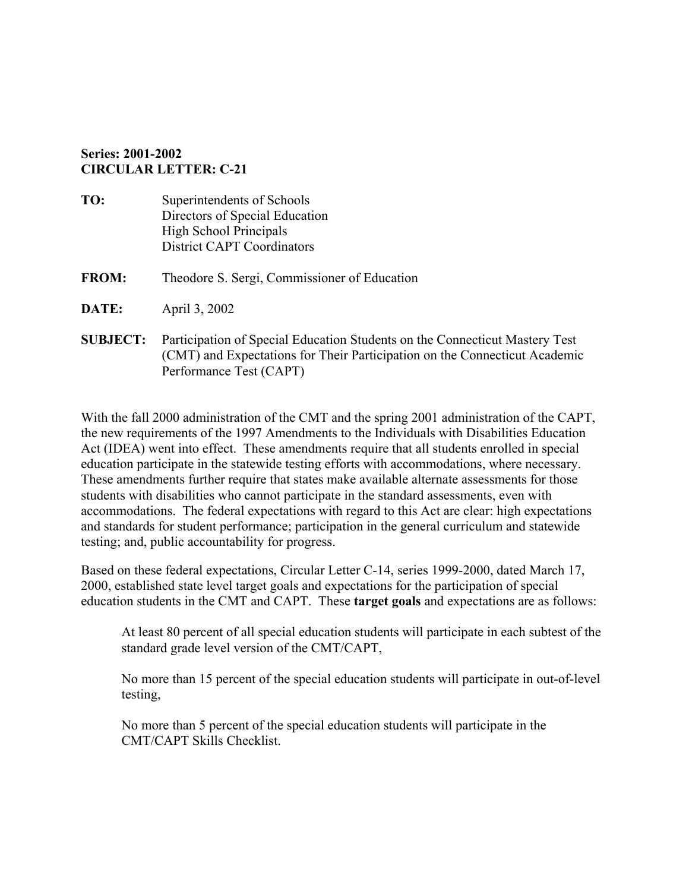## **Series: 2001-2002 CIRCULAR LETTER: C-21**

**TO:** Superintendents of Schools Directors of Special Education High School Principals District CAPT Coordinators **FROM:** Theodore S. Sergi, Commissioner of Education **DATE:** April 3, 2002 **SUBJECT:** Participation of Special Education Students on the Connecticut Mastery Test (CMT) and Expectations for Their Participation on the Connecticut Academic Performance Test (CAPT)

With the fall 2000 administration of the CMT and the spring 2001 administration of the CAPT, the new requirements of the 1997 Amendments to the Individuals with Disabilities Education Act (IDEA) went into effect. These amendments require that all students enrolled in special education participate in the statewide testing efforts with accommodations, where necessary. These amendments further require that states make available alternate assessments for those students with disabilities who cannot participate in the standard assessments, even with accommodations. The federal expectations with regard to this Act are clear: high expectations and standards for student performance; participation in the general curriculum and statewide testing; and, public accountability for progress.

Based on these federal expectations, Circular Letter C-14, series 1999-2000, dated March 17, 2000, established state level target goals and expectations for the participation of special education students in the CMT and CAPT. These **target goals** and expectations are as follows:

At least 80 percent of all special education students will participate in each subtest of the standard grade level version of the CMT/CAPT,

No more than 15 percent of the special education students will participate in out-of-level testing,

No more than 5 percent of the special education students will participate in the CMT/CAPT Skills Checklist.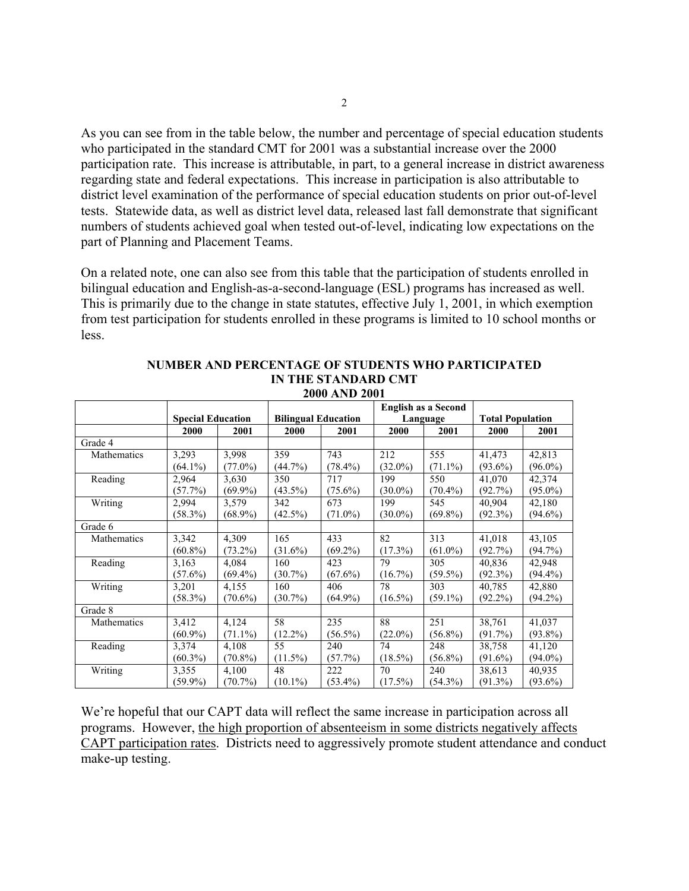As you can see from in the table below, the number and percentage of special education students who participated in the standard CMT for 2001 was a substantial increase over the 2000 participation rate. This increase is attributable, in part, to a general increase in district awareness regarding state and federal expectations. This increase in participation is also attributable to district level examination of the performance of special education students on prior out-of-level tests. Statewide data, as well as district level data, released last fall demonstrate that significant numbers of students achieved goal when tested out-of-level, indicating low expectations on the part of Planning and Placement Teams.

On a related note, one can also see from this table that the participation of students enrolled in bilingual education and English-as-a-second-language (ESL) programs has increased as well. This is primarily due to the change in state statutes, effective July 1, 2001, in which exemption from test participation for students enrolled in these programs is limited to 10 school months or less.

|             |                          |            | <b>English as a Second</b> |            |            |            |                         |            |
|-------------|--------------------------|------------|----------------------------|------------|------------|------------|-------------------------|------------|
|             | <b>Special Education</b> |            | <b>Bilingual Education</b> |            | Language   |            | <b>Total Population</b> |            |
|             | 2000                     | 2001       | 2000                       | 2001       | 2000       | 2001       | 2000                    | 2001       |
| Grade 4     |                          |            |                            |            |            |            |                         |            |
| Mathematics | 3,293                    | 3,998      | 359                        | 743        | 212        | 555        | 41,473                  | 42,813     |
|             | $(64.1\%)$               | $(77.0\%)$ | $(44.7\%)$                 | $(78.4\%)$ | $(32.0\%)$ | $(71.1\%)$ | $(93.6\%)$              | $(96.0\%)$ |
| Reading     | 2,964                    | 3,630      | 350                        | 717        | 199        | 550        | 41,070                  | 42,374     |
|             | $(57.7\%)$               | $(69.9\%)$ | $(43.5\%)$                 | $(75.6\%)$ | $(30.0\%)$ | $(70.4\%)$ | (92.7%)                 | $(95.0\%)$ |
| Writing     | 2,994                    | 3,579      | 342                        | 673        | 199        | 545        | 40,904                  | 42,180     |
|             | $(58.3\%)$               | $(68.9\%)$ | $(42.5\%)$                 | $(71.0\%)$ | $(30.0\%)$ | $(69.8\%)$ | (92.3%)                 | $(94.6\%)$ |
| Grade 6     |                          |            |                            |            |            |            |                         |            |
| Mathematics | 3,342                    | 4,309      | 165                        | 433        | 82         | 313        | 41,018                  | 43,105     |
|             | $(60.8\%)$               | $(73.2\%)$ | $(31.6\%)$                 | $(69.2\%)$ | (17.3%)    | $(61.0\%)$ | $(92.7\%)$              | $(94.7\%)$ |
| Reading     | 3,163                    | 4,084      | 160                        | 423        | 79         | 305        | 40,836                  | 42,948     |
|             | $(57.6\%)$               | $(69.4\%)$ | $(30.7\%)$                 | $(67.6\%)$ | $(16.7\%)$ | $(59.5\%)$ | $(92.3\%)$              | $(94.4\%)$ |
| Writing     | 3,201                    | 4,155      | 160                        | 406        | 78         | 303        | 40,785                  | 42,880     |
|             | $(58.3\%)$               | $(70.6\%)$ | $(30.7\%)$                 | $(64.9\%)$ | $(16.5\%)$ | $(59.1\%)$ | $(92.2\%)$              | $(94.2\%)$ |
| Grade 8     |                          |            |                            |            |            |            |                         |            |
| Mathematics | 3,412                    | 4,124      | 58                         | 235        | 88         | 251        | 38,761                  | 41,037     |
|             | $(60.9\%)$               | $(71.1\%)$ | $(12.2\%)$                 | $(56.5\%)$ | $(22.0\%)$ | $(56.8\%)$ | $(91.7\%)$              | $(93.8\%)$ |
| Reading     | 3,374                    | 4,108      | 55                         | 240        | 74         | 248        | 38,758                  | 41,120     |
|             | $(60.3\%)$               | $(70.8\%)$ | $(11.5\%)$                 | (57.7%)    | $(18.5\%)$ | $(56.8\%)$ | $(91.6\%)$              | $(94.0\%)$ |
| Writing     | 3,355                    | 4,100      | 48                         | 222        | 70         | 240        | 38,613                  | 40,935     |
|             | $(59.9\%)$               | $(70.7\%)$ | $(10.1\%)$                 | $(53.4\%)$ | $(17.5\%)$ | $(54.3\%)$ | $(91.3\%)$              | $(93.6\%)$ |

## **NUMBER AND PERCENTAGE OF STUDENTS WHO PARTICIPATED IN THE STANDARD CMT 2000 AND 2001**

We're hopeful that our CAPT data will reflect the same increase in participation across all programs. However, the high proportion of absenteeism in some districts negatively affects CAPT participation rates. Districts need to aggressively promote student attendance and conduct make-up testing.